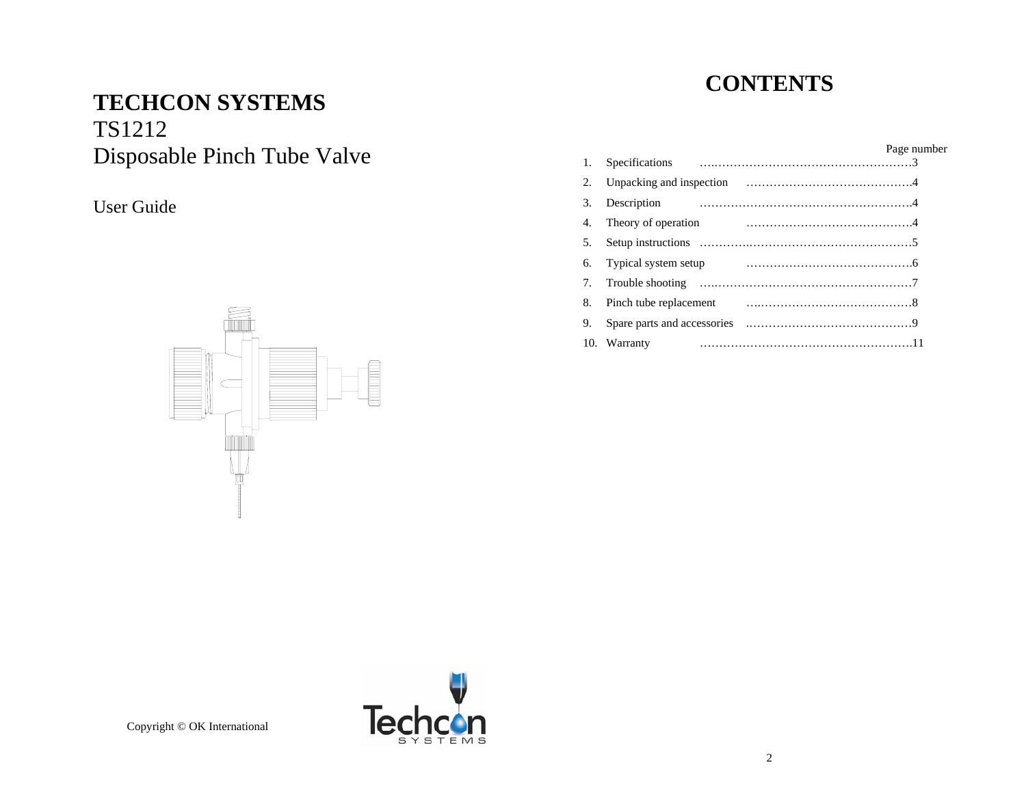# **TECHCON SYSTEMS**

## TS1212 Disposable Pinch Tube Valve

## User Guide

# **CONTENTS**

| 1.  | Specifications              | Page number |
|-----|-----------------------------|-------------|
| 2.  | Unpacking and inspection    |             |
| 3.  | Description                 |             |
| 4.  | Theory of operation         |             |
| .5  | Setup instructions          |             |
| 6.  | Typical system setup        |             |
| 7.  | Trouble shooting            |             |
| 8.  | Pinch tube replacement      |             |
| 9.  | Spare parts and accessories |             |
| 10. | Warranty                    |             |
|     |                             |             |



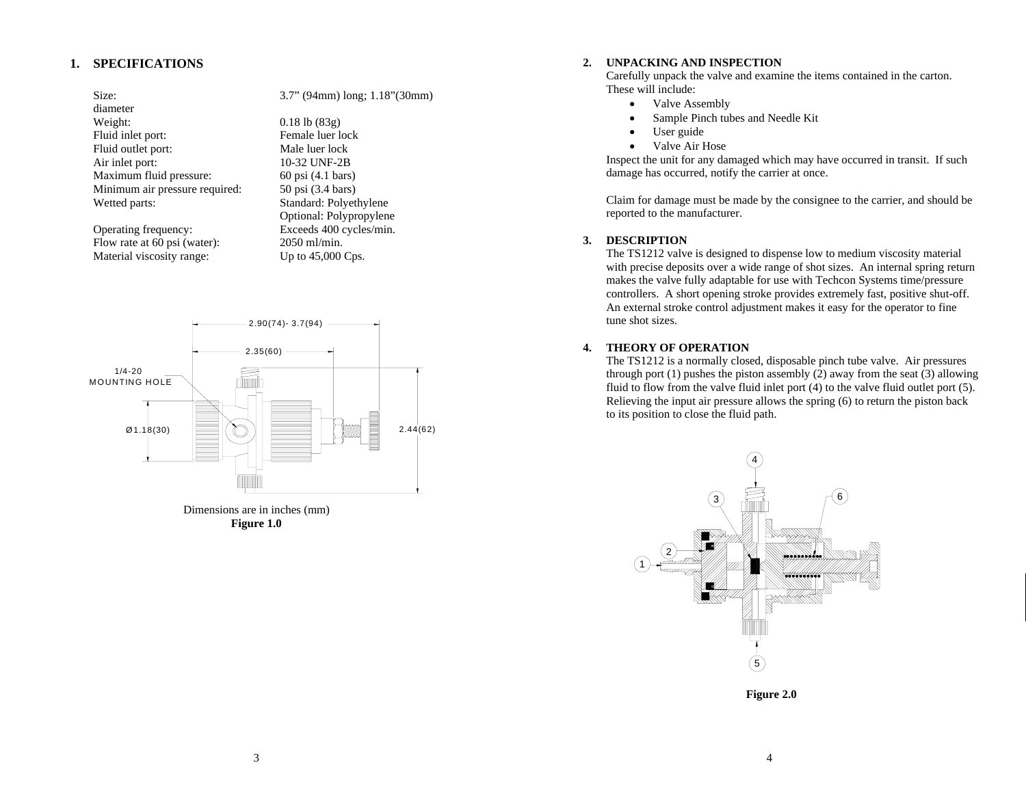## **1. SPECIFICATIONS**

diameter Weight: 0.18 lb (83g) Fluid inlet port: Female luer lock Fluid outlet port: Male luer lock<br>Air inlet port: 10-32 UNF-2B Maximum fluid pressure: 60 psi (4.1 bars) Minimum air pressure required: 50 psi (3.4 bars) Wetted parts: Standard: Polyethylene

Flow rate at 60 psi (water):  $2050$  ml/min. Material viscosity range: Up to 45,000 Cps.

Size: 3.7" (94mm) long; 1.18" (30mm)

10-32 UNF-2B Optional: Polypropylene Operating frequency: Exceeds 400 cycles/min.



Dimensions are in inches (mm) **Figure 1.0** 

#### **2. UNPACKING AND INSPECTION**

Carefully unpack the valve and examine the items contained in the carton. These will include:

- •Valve Assembly
- •Sample Pinch tubes and Needle Kit
- •User guide
- •Valve Air Hose

Inspect the unit for any damaged which may have occurred in transit. If such damage has occurred, notify the carrier at once.

Claim for damage must be made by the consignee to the carrier, and should be reported to the manufacturer.

## **3. DESCRIPTION**

The TS1212 valve is designed to dispense low to medium viscosity material with precise deposits over a wide range of shot sizes. An internal spring return makes the valve fully adaptable for use with Techcon Systems time/pressure controllers. A short opening stroke provides extremely fast, positive shut-off. An external stroke control adjustment makes it easy for the operator to fine tune shot sizes.

## **4. THEORY OF OPERATION**

The TS1212 is a normally closed, disposable pinch tube valve. Air pressures through port  $(1)$  pushes the piston assembly  $(2)$  away from the seat  $(3)$  allowing fluid to flow from the valve fluid inlet port (4) to the valve fluid outlet port (5). Relieving the input air pressure allows the spring (6) to return the piston back to its position to close the fluid path.



**Figure 2.0**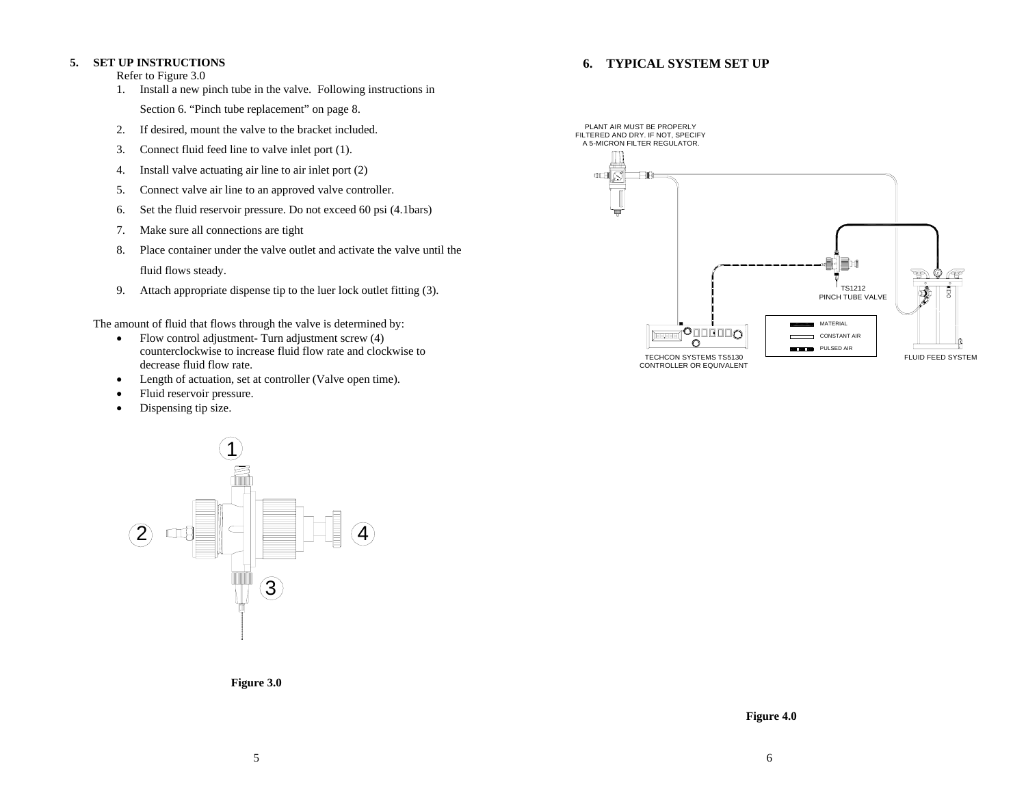#### **5. SET UP INSTRUCTIONS**

Refer to Figure 3.0

- 1. Install a new pinch tube in the valve. Following instructions in Section 6. "Pinch tube replacement" on page 8.
- 2.If desired, mount the valve to the bracket included.
- 3.Connect fluid feed line to valve inlet port (1).
- 4.Install valve actuating air line to air inlet port (2)
- 5.Connect valve air line to an approved valve controller.
- 6.Set the fluid reservoir pressure. Do not exceed 60 psi (4.1bars)
- 7.Make sure all connections are tight
- 8. Place container under the valve outlet and activate the valve until the fluid flows steady.
- 9. Attach appropriate dispense tip to the luer lock outlet fitting (3).

The amount of fluid that flows through the valve is determined by:

- • Flow control adjustment- Turn adjustment screw (4) counterclockwise to increase fluid flow rate and clockwise to decrease fluid flow rate.
- •Length of actuation, set at controller (Valve open time).
- •Fluid reservoir pressure.
- •Dispensing tip size.



**Figure 3.0** 

## **6. TYPICAL SYSTEM SET UP**

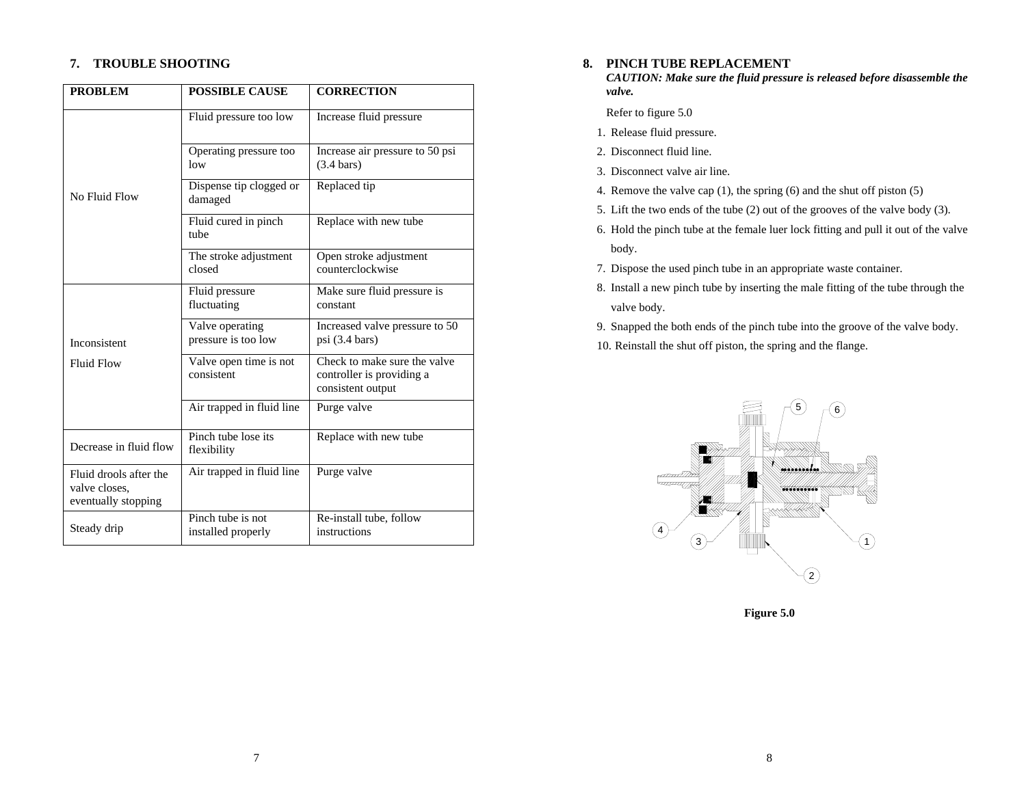## **7. TROUBLE SHOOTING**

| <b>PROBLEM</b>                                                 | <b>POSSIBLE CAUSE</b>                   | <b>CORRECTION</b>                                                              |  |
|----------------------------------------------------------------|-----------------------------------------|--------------------------------------------------------------------------------|--|
|                                                                | Fluid pressure too low                  | Increase fluid pressure                                                        |  |
|                                                                | Operating pressure too<br>low           | Increase air pressure to 50 psi<br>$(3.4 \text{ bars})$                        |  |
| No Fluid Flow                                                  | Dispense tip clogged or<br>damaged      | Replaced tip                                                                   |  |
|                                                                | Fluid cured in pinch<br>tube            | Replace with new tube                                                          |  |
|                                                                | The stroke adjustment<br>closed         | Open stroke adjustment<br>counterclockwise                                     |  |
|                                                                | Fluid pressure<br>fluctuating           | Make sure fluid pressure is<br>constant                                        |  |
| Inconsistent                                                   | Valve operating<br>pressure is too low  | Increased valve pressure to 50<br>$psi(3.4 \text{ bars})$                      |  |
| <b>Fluid Flow</b>                                              | Valve open time is not<br>consistent    | Check to make sure the valve<br>controller is providing a<br>consistent output |  |
|                                                                | Air trapped in fluid line               | Purge valve                                                                    |  |
| Decrease in fluid flow                                         | Pinch tube lose its<br>flexibility      | Replace with new tube                                                          |  |
| Fluid drools after the<br>valve closes,<br>eventually stopping | Air trapped in fluid line               | Purge valve                                                                    |  |
| Steady drip                                                    | Pinch tube is not<br>installed properly | Re-install tube, follow<br>instructions                                        |  |

## **8. PINCH TUBE REPLACEMENT**

*CAUTION: Make sure the fluid pressure is released before disassemble the valve.* 

Refer to figure 5.0

- 1. Release fluid pressure.
- 2. Disconnect fluid line.
- 3. Disconnect valve air line.
- 4. Remove the valve cap (1), the spring (6) and the shut off piston (5)
- 5. Lift the two ends of the tube (2) out of the grooves of the valve body (3).
- 6. Hold the pinch tube at the female luer lock fitting and pull it out of the valve body.
- 7. Dispose the used pinch tube in an appropriate waste container.
- 8. Install a new pinch tube by inserting the male fitting of the tube through the valve body.
- 9. Snapped the both ends of the pinch tube into the groove of the valve body.
- 10. Reinstall the shut off piston, the spring and the flange.



**Figure 5.0**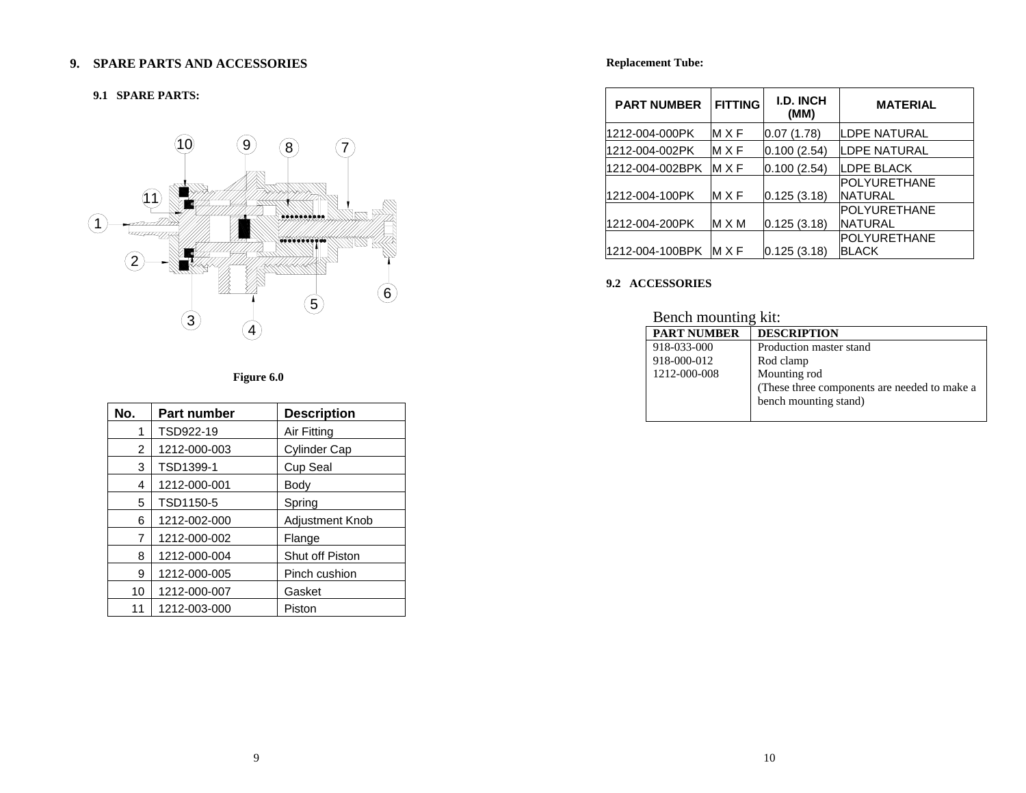## **9. SPARE PARTS AND ACCESSORIES**

#### **9.1 SPARE PARTS:**



## **Figure 6.0**

| No.           | <b>Part number</b> | <b>Description</b>  |
|---------------|--------------------|---------------------|
| 1             | TSD922-19          | Air Fitting         |
| $\mathcal{P}$ | 1212-000-003       | <b>Cylinder Cap</b> |
| 3             | TSD1399-1          | Cup Seal            |
| 4             | 1212-000-001       | Body                |
| 5             | TSD1150-5          | Spring              |
| 6             | 1212-002-000       | Adjustment Knob     |
| 7             | 1212-000-002       | Flange              |
| 8             | 1212-000-004       | Shut off Piston     |
| 9             | 1212-000-005       | Pinch cushion       |
| 10            | 1212-000-007       | Gasket              |
| 11            | 1212-003-000       | Piston              |

## **Replacement Tube:**

| <b>PART NUMBER</b> | <b>FITTING</b> | <b>I.D. INCH</b><br>(MM) | <b>MATERIAL</b>                |
|--------------------|----------------|--------------------------|--------------------------------|
| 1212-004-000PK     | MXF            | 10.07 (1.78)             | LDPE NATURAL                   |
| 1212-004-002PK     | MXF            | 0.100 (2.54)             | ILDPE NATURAL                  |
| 1212-004-002BPK    | MXF            | 0.100(2.54)              | <b>LDPE BLACK</b>              |
| 1212-004-100PK     | MXF            | 0.125(3.18)              | POLYURETHANE<br><b>NATURAL</b> |
| 1212-004-200PK     | M X M          | 0.125(3.18)              | POLYURETHANE<br><b>NATURAL</b> |
| l1212-004-100BPK   | MXF            | 0.125 (3.18)             | POLYURETHANE<br><b>BLACK</b>   |

#### **9.2 ACCESSORIES**

| Bench mounting kit: |                                              |  |
|---------------------|----------------------------------------------|--|
| <b>PART NUMBER</b>  | <b>DESCRIPTION</b>                           |  |
| 918-033-000         | Production master stand                      |  |
| 918-000-012         | Rod clamp                                    |  |
| 1212-000-008        | Mounting rod                                 |  |
|                     | (These three components are needed to make a |  |
|                     | bench mounting stand)                        |  |
|                     |                                              |  |